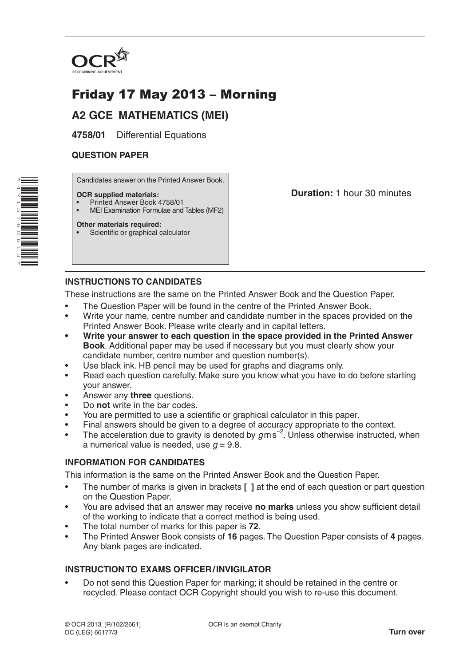

# Friday 17 May 2013 – Morning

## **A2 GCE MATHEMATICS (MEI)**

**4758/01** Differential Equations

## **QUESTION PAPER**

\*4 $\overline{\phantom{a}}$ 15 $\overline{\phantom{0}}$ 6061ω \* Candidates answer on the Printed Answer Book.

#### **OCR supplied materials:**

- Printed Answer Book 4758/01
- MEI Examination Formulae and Tables (MF2)

#### **Other materials required:**

• Scientific or graphical calculator

**Duration:** 1 hour 30 minutes

## **INSTRUCTIONS TO CANDIDATES**

These instructions are the same on the Printed Answer Book and the Question Paper.

- The Question Paper will be found in the centre of the Printed Answer Book.
- Write your name, centre number and candidate number in the spaces provided on the Printed Answer Book. Please write clearly and in capital letters.
- **• Write your answer to each question in the space provided in the Printed Answer Book**. Additional paper may be used if necessary but you must clearly show your candidate number, centre number and question number(s).
- Use black ink. HB pencil may be used for graphs and diagrams only.
- Read each question carefully. Make sure you know what you have to do before starting your answer.
- Answer any **three** questions.
- Do **not** write in the bar codes.
- You are permitted to use a scientific or graphical calculator in this paper.
- Final answers should be given to a degree of accuracy appropriate to the context.
- The acceleration due to gravity is denoted by  $g$ ms<sup>-2</sup>. Unless otherwise instructed, when a numerical value is needed, use  $q = 9.8$ .

## **INFORMATION FOR CANDIDATES**

This information is the same on the Printed Answer Book and the Question Paper.

- The number of marks is given in brackets **[ ]** at the end of each question or part question on the Question Paper.
- You are advised that an answer may receive **no marks** unless you show sufficient detail of the working to indicate that a correct method is being used.
- The total number of marks for this paper is **72**.
- The Printed Answer Book consists of **16** pages. The Question Paper consists of **4** pages. Any blank pages are indicated.

## **INSTRUCTION TO EXAMS OFFICER/INVIGILATOR**

• Do not send this Question Paper for marking; it should be retained in the centre or recycled. Please contact OCR Copyright should you wish to re-use this document.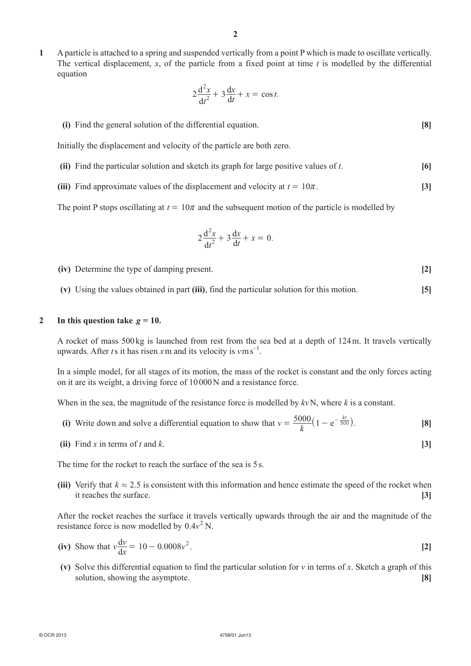**1**  A particle is attached to a spring and suspended vertically from a point P which is made to oscillate vertically. The vertical displacement,  $x$ , of the particle from a fixed point at time  $t$  is modelled by the differential equation

$$
2\frac{\mathrm{d}^2 x}{\mathrm{d}t^2} + 3\frac{\mathrm{d}x}{\mathrm{d}t} + x = \cos t.
$$

**(i)** Find the general solution of the differential equation. **[8]** 

Initially the displacement and velocity of the particle are both zero.

- **(ii)** Find the particular solution and sketch its graph for large positive values of  $t$ .  $[6]$
- **(iii)** Find approximate values of the displacement and velocity at  $t = 10\pi$ . **[3]**

The point P stops oscillating at  $t = 10\pi$  and the subsequent motion of the particle is modelled by

$$
2\frac{\mathrm{d}^2x}{\mathrm{d}t^2} + 3\frac{\mathrm{d}x}{\mathrm{d}t} + x = 0.
$$

**(iv)** Determine the type of damping present. **[2]** 

 **(v)**  Using the values obtained in part **(iii)**, find the particular solution for this motion. **[5]**

#### 2 In this question take  $g = 10$ .

A rocket of mass 500kg is launched from rest from the sea bed at a depth of 124m. It travels vertically upwards. After *t* s it has risen *x* m and its velocity is  $v \text{ m s}^{-1}$ .

In a simple model, for all stages of its motion, the mass of the rocket is constant and the only forces acting on it are its weight, a driving force of 10000N and a resistance force.

When in the sea, the magnitude of the resistance force is modelled by *kv*N, where *k* is a constant.

- **(i)** Write down and solve a differential equation to show that  $v = \frac{5000}{k} (1 e^{-\frac{kt}{500}})$ . [8]
	- **(ii)** Find *x* in terms of *t* and *k*. **[3]**

The time for the rocket to reach the surface of the sea is 5s.

**(iii)** Verify that  $k \approx 2.5$  is consistent with this information and hence estimate the speed of the rocket when it reaches the surface. **[3]**

After the rocket reaches the surface it travels vertically upwards through the air and the magnitude of the resistance force is now modelled by  $0.4v^2$  N.

- **(iv)** Show that  $v \frac{dv}{dx} = 10 0.0008v^2$ . [2]
	- **(v)** Solve this differential equation to find the particular solution for *v* in terms of *x*. Sketch a graph of this solution, showing the asymptote. **[8]**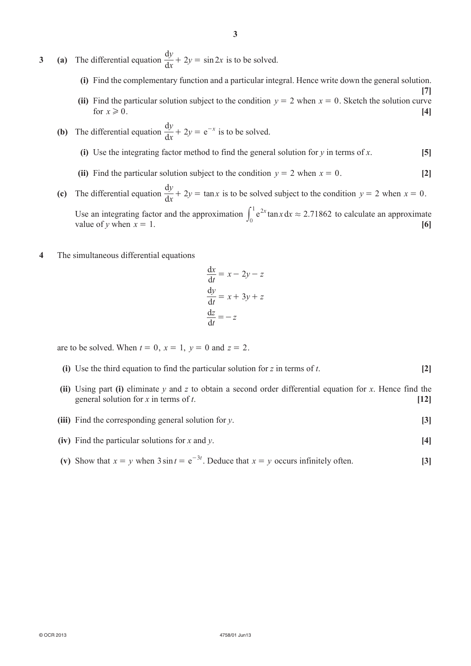- **3** (a) The differential equation  $\frac{dy}{dx} + 2y = \sin 2x$  is to be solved.
	- **(i)** Find the complementary function and a particular integral. Hence write down the general solution.

**[7]**

- **(ii)** Find the particular solution subject to the condition  $y = 2$  when  $x = 0$ . Sketch the solution curve for  $x \ge 0$ . [4]
- **(b)** The differential equation  $\frac{dy}{dx} + 2y = e$  $\frac{y}{x} + 2y = e^{-x}$  is to be solved.
	- **(i)** Use the integrating factor method to find the general solution for *y* in terms of *x*.  $[5]$
	- **(ii)** Find the particular solution subject to the condition  $y = 2$  when  $x = 0$ . [2]
- **(c)** The differential equation  $\frac{dy}{dx} + 2y = \tan x$  is to be solved subject to the condition  $y = 2$  when  $x = 0$ . Use an integrating factor and the approximation  $\int_0^1 e^{2x} \tan x \, dx \approx 2.71862$  $\int_0^1 e^{2x} \tan x \, dx \approx 2.71862$  to calculate an approximate value of *y* when  $x = 1$ . [6]
- **4**  The simultaneous differential equations

$$
\frac{dx}{dt} = x - 2y - z
$$

$$
\frac{dy}{dt} = x + 3y + z
$$

$$
\frac{dz}{dt} = -z
$$

are to be solved. When  $t = 0$ ,  $x = 1$ ,  $y = 0$  and  $z = 2$ .

- **(i)** Use the third equation to find the particular solution for *z* in terms of *t*. [2]
- **(ii)** Using part **(i)** eliminate *y* and *z* to obtain a second order differential equation for *x*. Hence find the general solution for  $x$  in terms of  $t$ .  $[12]$
- **(iii)** Find the corresponding general solution for *y*. **[3]**
- **(iv)** Find the particular solutions for *x* and *y*. [4]
- **(v)** Show that  $x = y$  when  $3 \sin t = e^{-3t}$ . Deduce that  $x = y$  occurs infinitely often. [3]